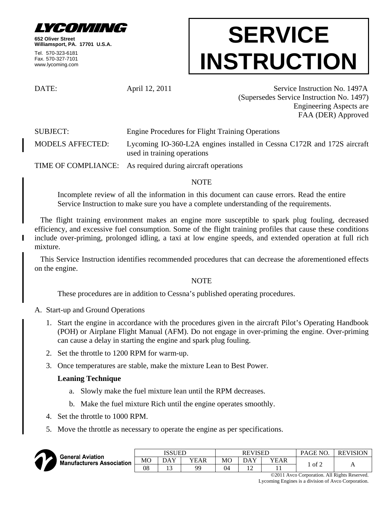

**652 Oliver Street Williamsport, PA. 17701 U.S.A.**

Tel. 570-323-6181 Fax. 570-327-7101 www.lycoming.com

# **SERVICE INSTRUCTION**

DATE: April 12, 2011 Service Instruction No. 1497A (Supersedes Service Instruction No. 1497) Engineering Aspects are FAA (DER) Approved

SUBJECT: Engine Procedures for Flight Training Operations

MODELS AFFECTED: Lycoming IO-360-L2A engines installed in Cessna C172R and 172S aircraft used in training operations

TIME OF COMPLIANCE: As required during aircraft operations

## NOTE

Incomplete review of all the information in this document can cause errors. Read the entire Service Instruction to make sure you have a complete understanding of the requirements.

The flight training environment makes an engine more susceptible to spark plug fouling, decreased efficiency, and excessive fuel consumption. Some of the flight training profiles that cause these conditions include over-priming, prolonged idling, a taxi at low engine speeds, and extended operation at full rich mixture.

This Service Instruction identifies recommended procedures that can decrease the aforementioned effects on the engine.

### NOTE

These procedures are in addition to Cessna's published operating procedures.

A. Start-up and Ground Operations

- 1. Start the engine in accordance with the procedures given in the aircraft Pilot's Operating Handbook (POH) or Airplane Flight Manual (AFM). Do not engage in over-priming the engine. Over-priming can cause a delay in starting the engine and spark plug fouling.
- 2. Set the throttle to 1200 RPM for warm-up.
- 3. Once temperatures are stable, make the mixture Lean to Best Power.

## **Leaning Technique**

- a. Slowly make the fuel mixture lean until the RPM decreases.
- b. Make the fuel mixture Rich until the engine operates smoothly.
- 4. Set the throttle to 1000 RPM.
- 5. Move the throttle as necessary to operate the engine as per specifications.



| ieneral Aviation<br>Ianufacturers Association | ISSUED         |     |      | <b>REVISED</b> |                 |      | PAGE NO.          | <b>REVISION</b> |
|-----------------------------------------------|----------------|-----|------|----------------|-----------------|------|-------------------|-----------------|
|                                               | M <sub>O</sub> | DAY | YEAR | МC             | DAY             | YEAR | $\cdot$ of $\sim$ | $\mathbf{L}$    |
|                                               | 08             |     | QC   | 04             | $\sqrt{2}$<br>┸ | . .  |                   |                 |

©2011 Avco Corporation. All Rights Reserved. Lycoming Engines is a division of Avco Corporation.